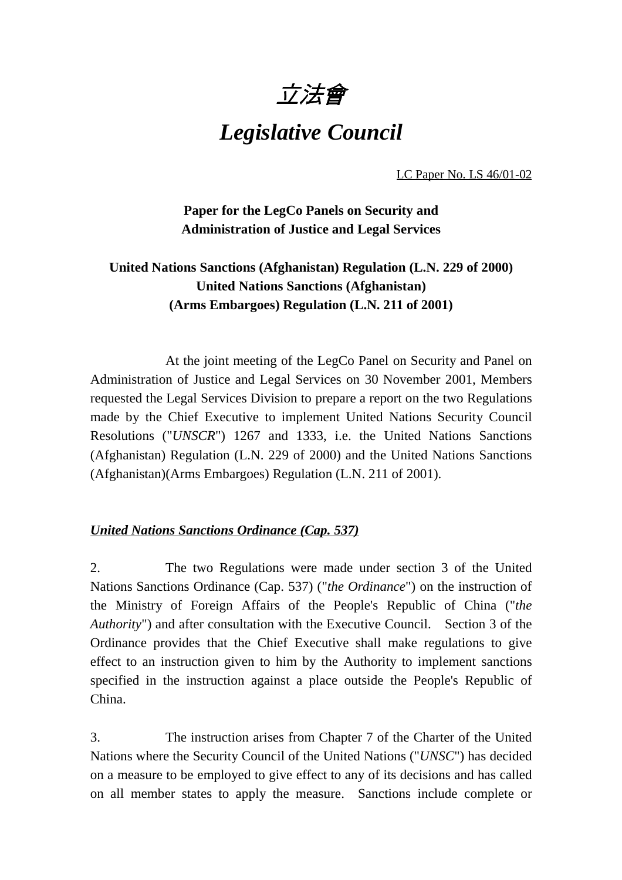# 立法會

## *Legislative Council*

LC Paper No. LS 46/01-02

**Paper for the LegCo Panels on Security and Administration of Justice and Legal Services**

## **United Nations Sanctions (Afghanistan) Regulation (L.N. 229 of 2000) United Nations Sanctions (Afghanistan) (Arms Embargoes) Regulation (L.N. 211 of 2001)**

At the joint meeting of the LegCo Panel on Security and Panel on Administration of Justice and Legal Services on 30 November 2001, Members requested the Legal Services Division to prepare a report on the two Regulations made by the Chief Executive to implement United Nations Security Council Resolutions ("*UNSCR*") 1267 and 1333, i.e. the United Nations Sanctions (Afghanistan) Regulation (L.N. 229 of 2000) and the United Nations Sanctions (Afghanistan)(Arms Embargoes) Regulation (L.N. 211 of 2001).

#### *United Nations Sanctions Ordinance (Cap. 537)*

2. The two Regulations were made under section 3 of the United Nations Sanctions Ordinance (Cap. 537) ("*the Ordinance*") on the instruction of the Ministry of Foreign Affairs of the People's Republic of China ("*the Authority*") and after consultation with the Executive Council. Section 3 of the Ordinance provides that the Chief Executive shall make regulations to give effect to an instruction given to him by the Authority to implement sanctions specified in the instruction against a place outside the People's Republic of China.

3. The instruction arises from Chapter 7 of the Charter of the United Nations where the Security Council of the United Nations ("*UNSC*") has decided on a measure to be employed to give effect to any of its decisions and has called on all member states to apply the measure. Sanctions include complete or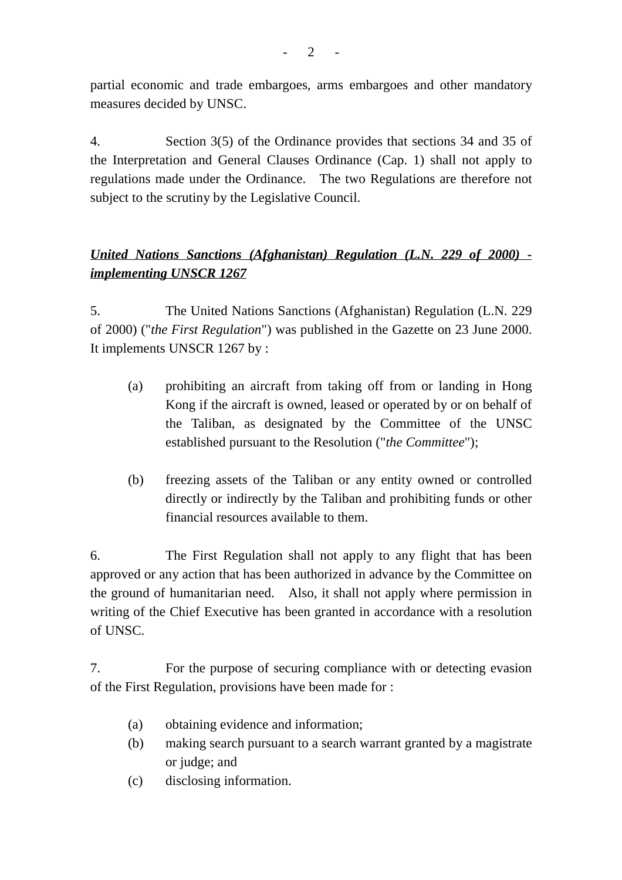partial economic and trade embargoes, arms embargoes and other mandatory measures decided by UNSC.

4. Section 3(5) of the Ordinance provides that sections 34 and 35 of the Interpretation and General Clauses Ordinance (Cap. 1) shall not apply to regulations made under the Ordinance. The two Regulations are therefore not subject to the scrutiny by the Legislative Council.

## *United Nations Sanctions (Afghanistan) Regulation (L.N. 229 of 2000) implementing UNSCR 1267*

5. The United Nations Sanctions (Afghanistan) Regulation (L.N. 229 of 2000) ("*the First Regulation*") was published in the Gazette on 23 June 2000. It implements UNSCR 1267 by :

- (a) prohibiting an aircraft from taking off from or landing in Hong Kong if the aircraft is owned, leased or operated by or on behalf of the Taliban, as designated by the Committee of the UNSC established pursuant to the Resolution ("*the Committee*");
- (b) freezing assets of the Taliban or any entity owned or controlled directly or indirectly by the Taliban and prohibiting funds or other financial resources available to them.

6. The First Regulation shall not apply to any flight that has been approved or any action that has been authorized in advance by the Committee on the ground of humanitarian need. Also, it shall not apply where permission in writing of the Chief Executive has been granted in accordance with a resolution of UNSC.

7. For the purpose of securing compliance with or detecting evasion of the First Regulation, provisions have been made for :

- (a) obtaining evidence and information;
- (b) making search pursuant to a search warrant granted by a magistrate or judge; and
- (c) disclosing information.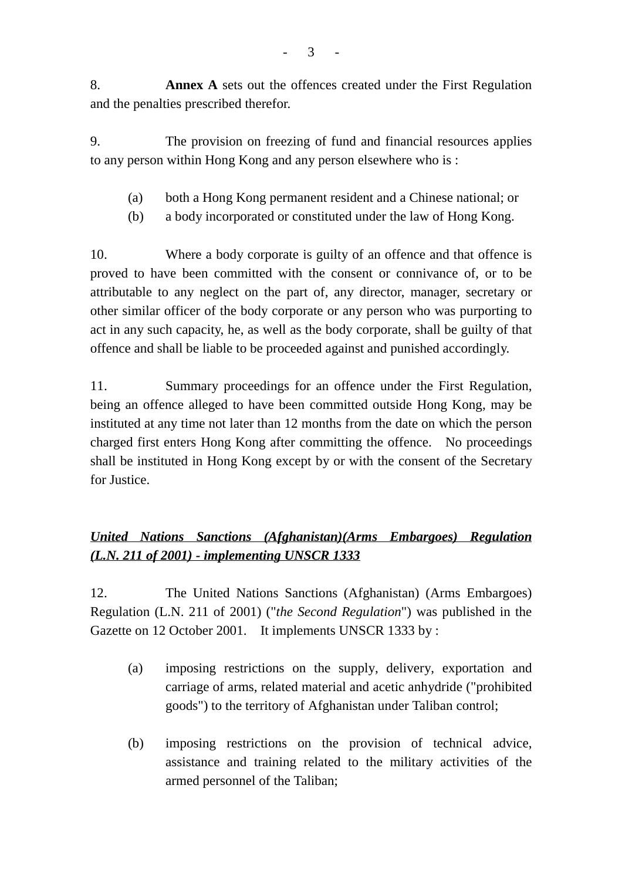8. **Annex A** sets out the offences created under the First Regulation and the penalties prescribed therefor.

9. The provision on freezing of fund and financial resources applies to any person within Hong Kong and any person elsewhere who is :

- (a) both a Hong Kong permanent resident and a Chinese national; or
- (b) a body incorporated or constituted under the law of Hong Kong.

10. Where a body corporate is guilty of an offence and that offence is proved to have been committed with the consent or connivance of, or to be attributable to any neglect on the part of, any director, manager, secretary or other similar officer of the body corporate or any person who was purporting to act in any such capacity, he, as well as the body corporate, shall be guilty of that offence and shall be liable to be proceeded against and punished accordingly.

11. Summary proceedings for an offence under the First Regulation, being an offence alleged to have been committed outside Hong Kong, may be instituted at any time not later than 12 months from the date on which the person charged first enters Hong Kong after committing the offence. No proceedings shall be instituted in Hong Kong except by or with the consent of the Secretary for Justice.

### *United Nations Sanctions (Afghanistan)(Arms Embargoes) Regulation (L.N. 211 of 2001) - implementing UNSCR 1333*

12. The United Nations Sanctions (Afghanistan) (Arms Embargoes) Regulation (L.N. 211 of 2001) ("*the Second Regulation*") was published in the Gazette on 12 October 2001. It implements UNSCR 1333 by :

- (a) imposing restrictions on the supply, delivery, exportation and carriage of arms, related material and acetic anhydride ("prohibited goods") to the territory of Afghanistan under Taliban control;
- (b) imposing restrictions on the provision of technical advice, assistance and training related to the military activities of the armed personnel of the Taliban;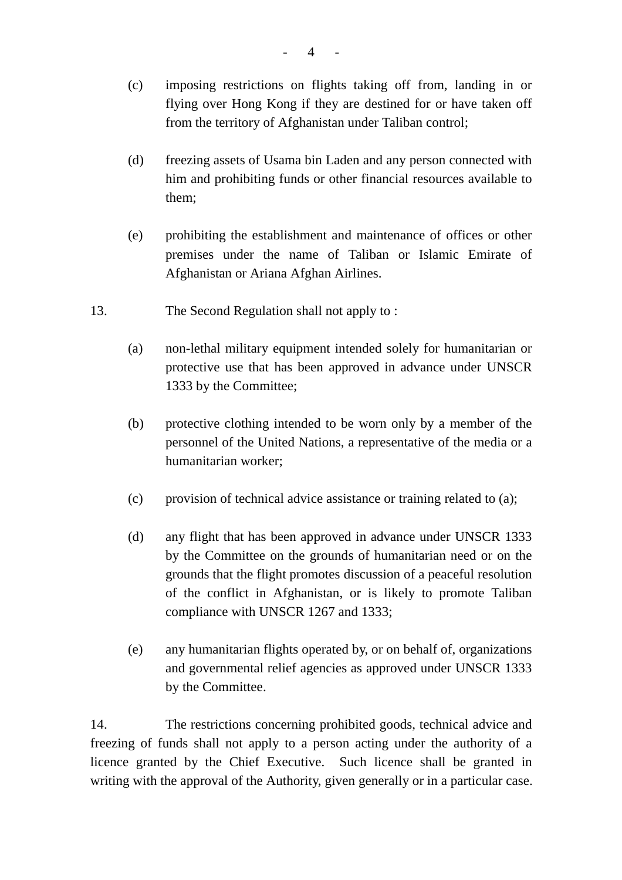- (c) imposing restrictions on flights taking off from, landing in or flying over Hong Kong if they are destined for or have taken off from the territory of Afghanistan under Taliban control;
- (d) freezing assets of Usama bin Laden and any person connected with him and prohibiting funds or other financial resources available to them;
- (e) prohibiting the establishment and maintenance of offices or other premises under the name of Taliban or Islamic Emirate of Afghanistan or Ariana Afghan Airlines.
- 13. The Second Regulation shall not apply to :
	- (a) non-lethal military equipment intended solely for humanitarian or protective use that has been approved in advance under UNSCR 1333 by the Committee;
	- (b) protective clothing intended to be worn only by a member of the personnel of the United Nations, a representative of the media or a humanitarian worker;
	- (c) provision of technical advice assistance or training related to (a);
	- (d) any flight that has been approved in advance under UNSCR 1333 by the Committee on the grounds of humanitarian need or on the grounds that the flight promotes discussion of a peaceful resolution of the conflict in Afghanistan, or is likely to promote Taliban compliance with UNSCR 1267 and 1333;
	- (e) any humanitarian flights operated by, or on behalf of, organizations and governmental relief agencies as approved under UNSCR 1333 by the Committee.

14. The restrictions concerning prohibited goods, technical advice and freezing of funds shall not apply to a person acting under the authority of a licence granted by the Chief Executive. Such licence shall be granted in writing with the approval of the Authority, given generally or in a particular case.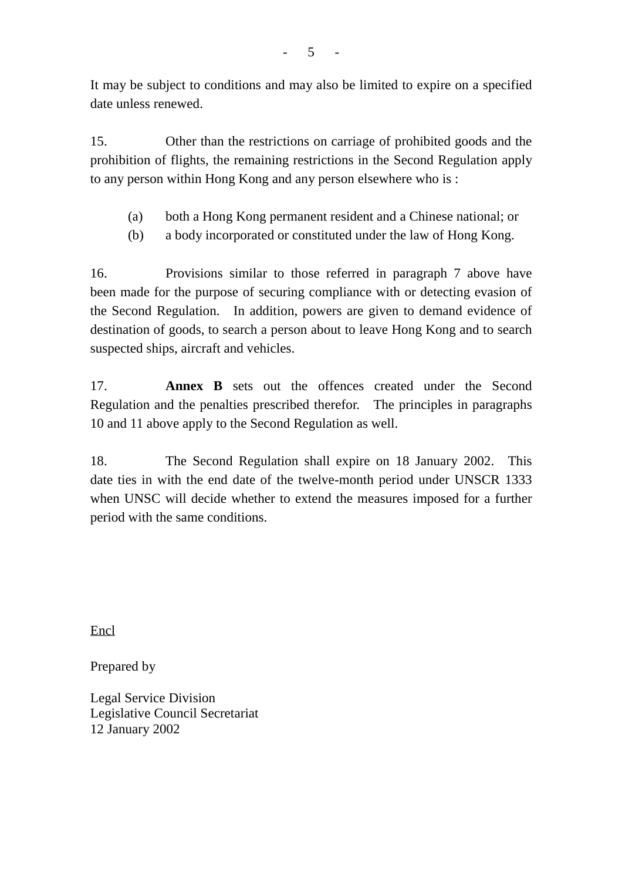It may be subject to conditions and may also be limited to expire on a specified date unless renewed.

15. Other than the restrictions on carriage of prohibited goods and the prohibition of flights, the remaining restrictions in the Second Regulation apply to any person within Hong Kong and any person elsewhere who is :

- (a) both a Hong Kong permanent resident and a Chinese national; or
- (b) a body incorporated or constituted under the law of Hong Kong.

16. Provisions similar to those referred in paragraph 7 above have been made for the purpose of securing compliance with or detecting evasion of the Second Regulation. In addition, powers are given to demand evidence of destination of goods, to search a person about to leave Hong Kong and to search suspected ships, aircraft and vehicles.

17. **Annex B** sets out the offences created under the Second Regulation and the penalties prescribed therefor. The principles in paragraphs 10 and 11 above apply to the Second Regulation as well.

18. The Second Regulation shall expire on 18 January 2002. This date ties in with the end date of the twelve-month period under UNSCR 1333 when UNSC will decide whether to extend the measures imposed for a further period with the same conditions.

Encl

Prepared by

Legal Service Division Legislative Council Secretariat 12 January 2002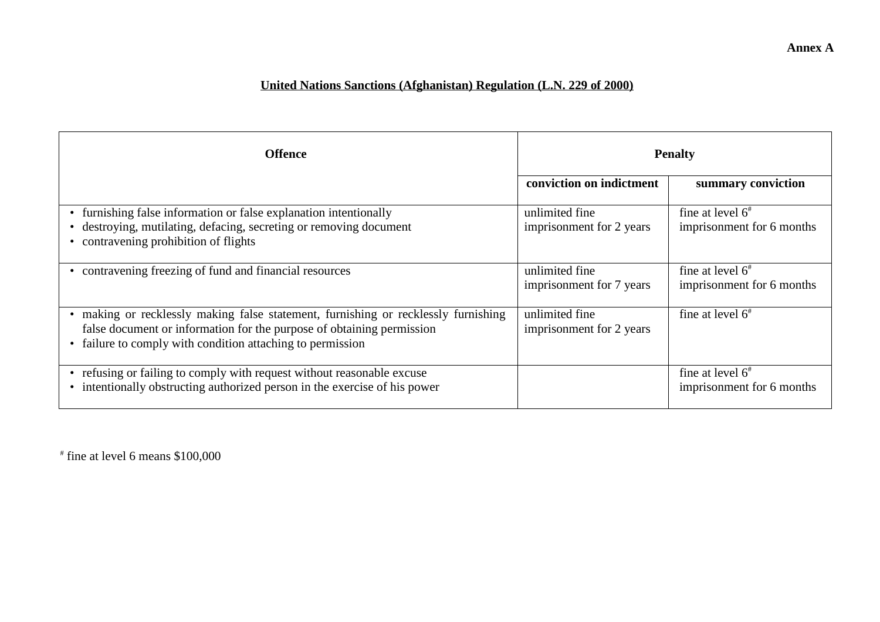#### **United Nations Sanctions (Afghanistan) Regulation (L.N. 229 of 2000)**

| <b>Offence</b>                                                                                                                                                                                                        | <b>Penalty</b>                             |                                                        |
|-----------------------------------------------------------------------------------------------------------------------------------------------------------------------------------------------------------------------|--------------------------------------------|--------------------------------------------------------|
|                                                                                                                                                                                                                       | conviction on indictment                   | summary conviction                                     |
| • furnishing false information or false explanation intentionally<br>destroying, mutilating, defacing, secreting or removing document<br>• contravening prohibition of flights                                        | unlimited fine<br>imprisonment for 2 years | fine at level $6^{\#}$<br>imprisonment for 6 months    |
| contravening freezing of fund and financial resources<br>٠                                                                                                                                                            | unlimited fine<br>imprisonment for 7 years | fine at level $6^{\circ}$<br>imprisonment for 6 months |
| making or recklessly making false statement, furnishing or recklessly furnishing<br>false document or information for the purpose of obtaining permission<br>failure to comply with condition attaching to permission | unlimited fine<br>imprisonment for 2 years | fine at level $6^{\#}$                                 |
| • refusing or failing to comply with request without reasonable excuse<br>• intentionally obstructing authorized person in the exercise of his power                                                                  |                                            | fine at level $6^{\#}$<br>imprisonment for 6 months    |

 $*$  fine at level 6 means \$100,000